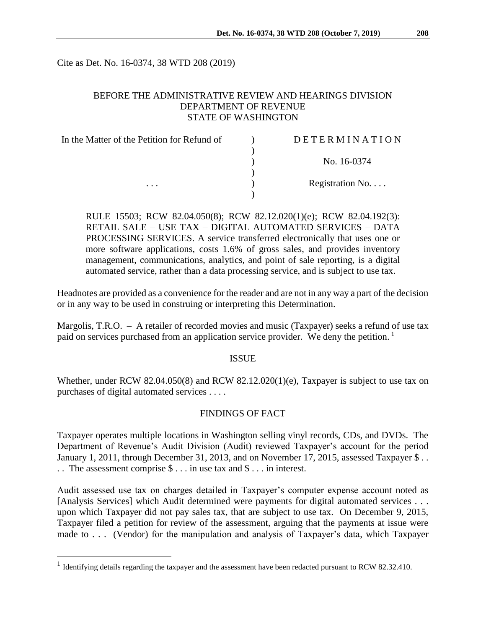Cite as Det. No. 16-0374, 38 WTD 208 (2019)

# BEFORE THE ADMINISTRATIVE REVIEW AND HEARINGS DIVISION DEPARTMENT OF REVENUE STATE OF WASHINGTON

| In the Matter of the Petition for Refund of | DETERMINATION   |
|---------------------------------------------|-----------------|
|                                             |                 |
|                                             | No. 16-0374     |
|                                             |                 |
| $\cdots$                                    | Registration No |
|                                             |                 |

RULE 15503; RCW 82.04.050(8); RCW 82.12.020(1)(e); RCW 82.04.192(3): RETAIL SALE – USE TAX – DIGITAL AUTOMATED SERVICES – DATA PROCESSING SERVICES. A service transferred electronically that uses one or more software applications, costs 1.6% of gross sales, and provides inventory management, communications, analytics, and point of sale reporting, is a digital automated service, rather than a data processing service, and is subject to use tax.

Headnotes are provided as a convenience for the reader and are not in any way a part of the decision or in any way to be used in construing or interpreting this Determination.

Margolis, T.R.O. – A retailer of recorded movies and music (Taxpayer) seeks a refund of use tax paid on services purchased from an application service provider. We deny the petition.<sup>1</sup>

#### ISSUE

Whether, under RCW 82.04.050(8) and RCW 82.12.020(1)(e), Taxpayer is subject to use tax on purchases of digital automated services . . . .

## FINDINGS OF FACT

Taxpayer operates multiple locations in Washington selling vinyl records, CDs, and DVDs. The Department of Revenue's Audit Division (Audit) reviewed Taxpayer's account for the period January 1, 2011, through December 31, 2013, and on November 17, 2015, assessed Taxpayer \$... . . The assessment comprise \$ . . . in use tax and \$ . . . in interest.

Audit assessed use tax on charges detailed in Taxpayer's computer expense account noted as [Analysis Services] which Audit determined were payments for digital automated services . . . upon which Taxpayer did not pay sales tax, that are subject to use tax. On December 9, 2015, Taxpayer filed a petition for review of the assessment, arguing that the payments at issue were made to . . . (Vendor) for the manipulation and analysis of Taxpayer's data, which Taxpayer

 $\overline{a}$ 

<sup>&</sup>lt;sup>1</sup> Identifying details regarding the taxpayer and the assessment have been redacted pursuant to RCW 82.32.410.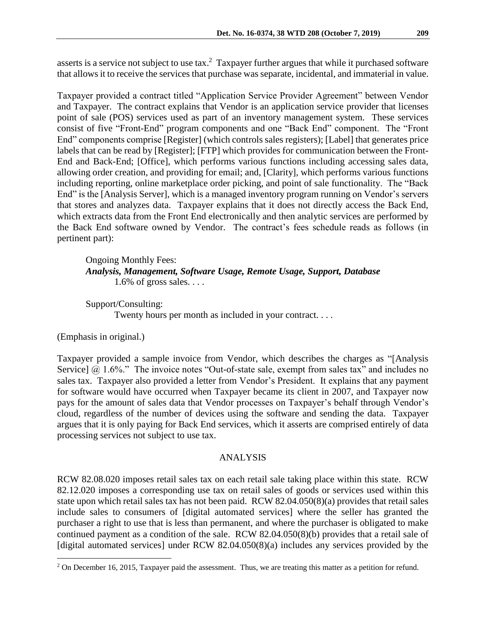asserts is a service not subject to use tax.<sup>2</sup> Taxpayer further argues that while it purchased software that allows it to receive the services that purchase was separate, incidental, and immaterial in value.

Taxpayer provided a contract titled "Application Service Provider Agreement" between Vendor and Taxpayer. The contract explains that Vendor is an application service provider that licenses point of sale (POS) services used as part of an inventory management system. These services consist of five "Front-End" program components and one "Back End" component. The "Front End" components comprise [Register] (which controls sales registers); [Label] that generates price labels that can be read by [Register]; [FTP] which provides for communication between the Front-End and Back-End; [Office], which performs various functions including accessing sales data, allowing order creation, and providing for email; and, [Clarity], which performs various functions including reporting, online marketplace order picking, and point of sale functionality. The "Back End" is the [Analysis Server], which is a managed inventory program running on Vendor's servers that stores and analyzes data. Taxpayer explains that it does not directly access the Back End, which extracts data from the Front End electronically and then analytic services are performed by the Back End software owned by Vendor. The contract's fees schedule reads as follows (in pertinent part):

Ongoing Monthly Fees: *Analysis, Management, Software Usage, Remote Usage, Support, Database* 1.6% of gross sales. . . .

Support/Consulting: Twenty hours per month as included in your contract. . . .

(Emphasis in original.)

 $\overline{a}$ 

Taxpayer provided a sample invoice from Vendor, which describes the charges as "[Analysis Service]  $\omega$  1.6%." The invoice notes "Out-of-state sale, exempt from sales tax" and includes no sales tax. Taxpayer also provided a letter from Vendor's President. It explains that any payment for software would have occurred when Taxpayer became its client in 2007, and Taxpayer now pays for the amount of sales data that Vendor processes on Taxpayer's behalf through Vendor's cloud, regardless of the number of devices using the software and sending the data. Taxpayer argues that it is only paying for Back End services, which it asserts are comprised entirely of data processing services not subject to use tax.

## ANALYSIS

RCW 82.08.020 imposes retail sales tax on each retail sale taking place within this state. RCW 82.12.020 imposes a corresponding use tax on retail sales of goods or services used within this state upon which retail sales tax has not been paid. RCW 82.04.050(8)(a) provides that retail sales include sales to consumers of [digital automated services] where the seller has granted the purchaser a right to use that is less than permanent, and where the purchaser is obligated to make continued payment as a condition of the sale. RCW 82.04.050(8)(b) provides that a retail sale of [digital automated services] under RCW 82.04.050(8)(a) includes any services provided by the

<sup>&</sup>lt;sup>2</sup> On December 16, 2015, Taxpayer paid the assessment. Thus, we are treating this matter as a petition for refund.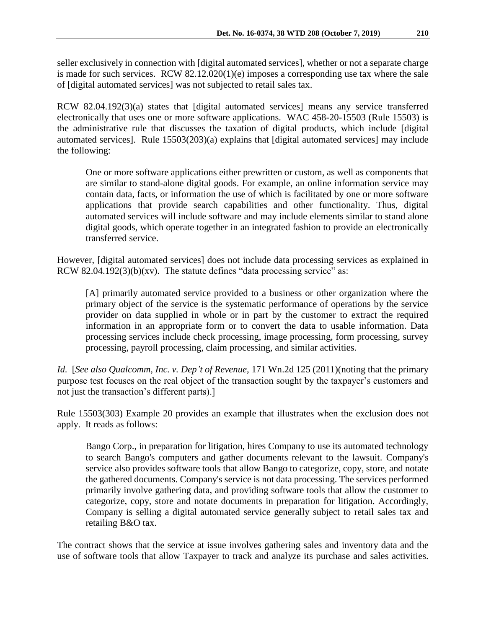seller exclusively in connection with [digital automated services], whether or not a separate charge is made for such services. RCW 82.12.020(1)(e) imposes a corresponding use tax where the sale of [digital automated services] was not subjected to retail sales tax.

RCW 82.04.192(3)(a) states that [digital automated services] means any service transferred electronically that uses one or more software applications. WAC 458-20-15503 (Rule 15503) is the administrative rule that discusses the taxation of digital products, which include [digital automated services]. Rule 15503(203)(a) explains that [digital automated services] may include the following:

One or more software applications either prewritten or custom, as well as components that are similar to stand-alone digital goods. For example, an online information service may contain data, facts, or information the use of which is facilitated by one or more software applications that provide search capabilities and other functionality. Thus, digital automated services will include software and may include elements similar to stand alone digital goods, which operate together in an integrated fashion to provide an electronically transferred service.

However, [digital automated services] does not include data processing services as explained in RCW 82.04.192 $(3)(b)(xv)$ . The statute defines "data processing service" as:

[A] primarily automated service provided to a business or other organization where the primary object of the service is the systematic performance of operations by the service provider on data supplied in whole or in part by the customer to extract the required information in an appropriate form or to convert the data to usable information. Data processing services include check processing, image processing, form processing, survey processing, payroll processing, claim processing, and similar activities.

*Id.* [*See also Qualcomm, Inc. v. Dep't of Revenue*, 171 Wn.2d 125 (2011)(noting that the primary purpose test focuses on the real object of the transaction sought by the taxpayer's customers and not just the transaction's different parts).]

Rule 15503(303) Example 20 provides an example that illustrates when the exclusion does not apply. It reads as follows:

Bango Corp., in preparation for litigation, hires Company to use its automated technology to search Bango's computers and gather documents relevant to the lawsuit. Company's service also provides software tools that allow Bango to categorize, copy, store, and notate the gathered documents. Company's service is not data processing. The services performed primarily involve gathering data, and providing software tools that allow the customer to categorize, copy, store and notate documents in preparation for litigation. Accordingly, Company is selling a digital automated service generally subject to retail sales tax and retailing B&O tax.

The contract shows that the service at issue involves gathering sales and inventory data and the use of software tools that allow Taxpayer to track and analyze its purchase and sales activities.